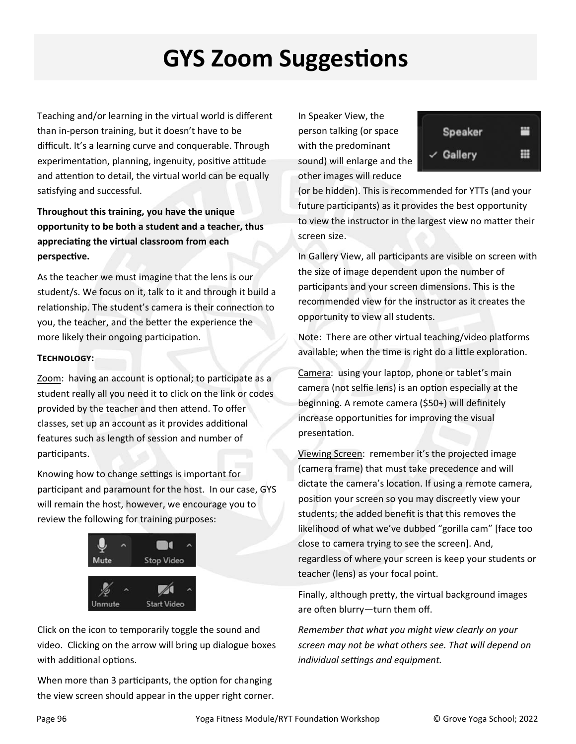## **GYS Zoom SuggesƟons**

Teaching and/or learning in the virtual world is different than in‐person training, but it doesn't have to be difficult. It's a learning curve and conquerable. Through experimentation, planning, ingenuity, positive attitude and attention to detail, the virtual world can be equally satisfying and successful.

**Throughout this training, you have the unique opportunity to be both a student and a teacher, thus appreciaƟng the virtual classroom from each perspecƟve.** 

As the teacher we must imagine that the lens is our student/s. We focus on it, talk to it and through it build a relationship. The student's camera is their connection to you, the teacher, and the better the experience the more likely their ongoing participation.

## **TECHNOLOGY:**

Zoom: having an account is optional; to participate as a student really all you need it to click on the link or codes provided by the teacher and then attend. To offer classes, set up an account as it provides additional features such as length of session and number of participants.

Knowing how to change settings is important for participant and paramount for the host. In our case, GYS will remain the host, however, we encourage you to review the following for training purposes:



Click on the icon to temporarily toggle the sound and video. Clicking on the arrow will bring up dialogue boxes with additional options.

When more than 3 participants, the option for changing the view screen should appear in the upper right corner.

In Speaker View, the person talking (or space with the predominant sound) will enlarge and the other images will reduce

| Speaker              | m |
|----------------------|---|
| $\checkmark$ Gallery | ₩ |

(or be hidden). This is recommended for YTTs (and your future participants) as it provides the best opportunity to view the instructor in the largest view no matter their screen size.

In Gallery View, all participants are visible on screen with the size of image dependent upon the number of participants and your screen dimensions. This is the recommended view for the instructor as it creates the opportunity to view all students.

Note: There are other virtual teaching/video platforms available; when the time is right do a little exploration.

Camera: using your laptop, phone or tablet's main camera (not selfie lens) is an option especially at the beginning. A remote camera (\$50+) will definitely increase opportunities for improving the visual presentaƟon*.* 

Viewing Screen: remember it's the projected image (camera frame) that must take precedence and will dictate the camera's location. If using a remote camera, position your screen so you may discreetly view your students; the added benefit is that this removes the likelihood of what we've dubbed "gorilla cam" [face too close to camera trying to see the screen]. And, regardless of where your screen is keep your students or teacher (lens) as your focal point.

Finally, although pretty, the virtual background images are often blurry-turn them off.

*Remember that what you might view clearly on your screen may not be what others see. That will depend on individual settings and equipment.*